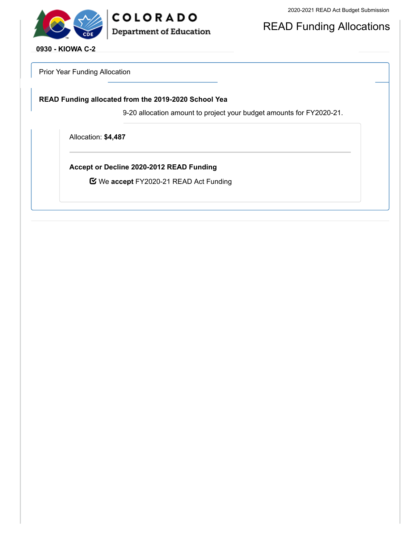



READ Funding Allocations

**0930 - KIOWA C-2**

Prior Year Funding Allocation

**READ Funding allocated from the 2019-2020 School Yea**

9-20 allocation amount to project your budget amounts for FY2020-21.

Allocation: **\$4,487**

**Accept or Decline 2020-2012 READ Funding**

We **accept** FY2020-21 READ Act Funding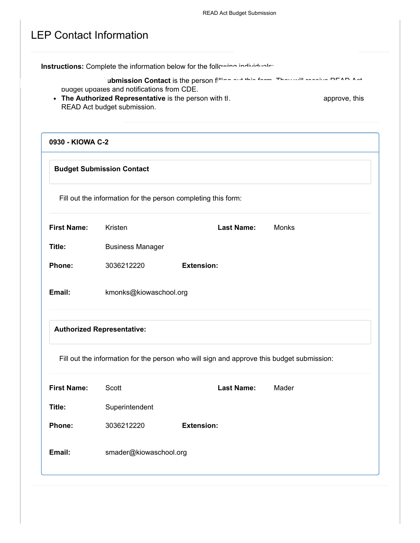|                    |                                                                                                      | Instructions: Complete the information below for the following individuals:               |               |
|--------------------|------------------------------------------------------------------------------------------------------|-------------------------------------------------------------------------------------------|---------------|
|                    |                                                                                                      | ubmission Contact is the person filling and this fame. There will acceive DEAD Ast        |               |
|                    | pudget updates and notifications from CDE.<br>• The Authorized Representative is the person with tl. |                                                                                           | approve, this |
|                    | READ Act budget submission.                                                                          |                                                                                           |               |
| 0930 - KIOWA C-2   |                                                                                                      |                                                                                           |               |
|                    | <b>Budget Submission Contact</b>                                                                     |                                                                                           |               |
|                    |                                                                                                      | Fill out the information for the person completing this form:                             |               |
| <b>First Name:</b> | Kristen                                                                                              | <b>Last Name:</b>                                                                         | Monks         |
| Title:             | <b>Business Manager</b>                                                                              |                                                                                           |               |
| Phone:             | 3036212220                                                                                           | <b>Extension:</b>                                                                         |               |
| Email:             | kmonks@kiowaschool.org                                                                               |                                                                                           |               |
|                    | <b>Authorized Representative:</b>                                                                    |                                                                                           |               |
|                    |                                                                                                      | Fill out the information for the person who will sign and approve this budget submission: |               |
| <b>First Name:</b> | Scott                                                                                                | <b>Last Name:</b>                                                                         | Mader         |
| Title:             | Superintendent                                                                                       |                                                                                           |               |
| Phone:             | 3036212220                                                                                           | <b>Extension:</b>                                                                         |               |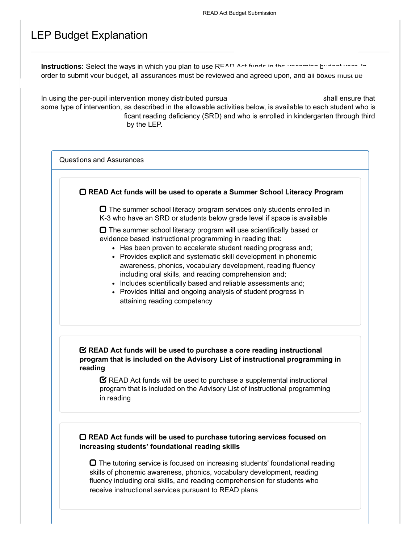### LEP Budget Explanation

**Instructions:** Select the ways in which you plan to use READ Act funds in the upcoming budget year. In order to submit your budget, all assurances must be reviewed and agreed upon, and all boxes must be

In using the per-pupil intervention money distributed pursua shall ensure that shall ensure that some type of intervention, as described in the allowable activities below, is available to each student who is ficant reading deficiency (SRD) and who is enrolled in kindergarten through third by the LEP.

Questions and Assurances



 $\Box$  The summer school literacy program services only students enrolled in K-3 who have an SRD or students below grade level if space is available

 $\Box$  The summer school literacy program will use scientifically based or evidence based instructional programming in reading that:

- Has been proven to accelerate student reading progress and;
- Provides explicit and systematic skill development in phonemic awareness, phonics, vocabulary development, reading fluency including oral skills, and reading comprehension and;
- Includes scientifically based and reliable assessments and;
- Provides initial and ongoing analysis of student progress in attaining reading competency

#### **READ Act funds will be used to purchase a core reading instructional program that is included on the Advisory List of instructional programming in reading**

 $\mathbf C$  READ Act funds will be used to purchase a supplemental instructional program that is included on the Advisory List of instructional programming in reading

#### **READ Act funds will be used to purchase tutoring services focused on increasing students' foundational reading skills**

 $\Box$  The tutoring service is focused on increasing students' foundational reading skills of phonemic awareness, phonics, vocabulary development, reading fluency including oral skills, and reading comprehension for students who receive instructional services pursuant to READ plans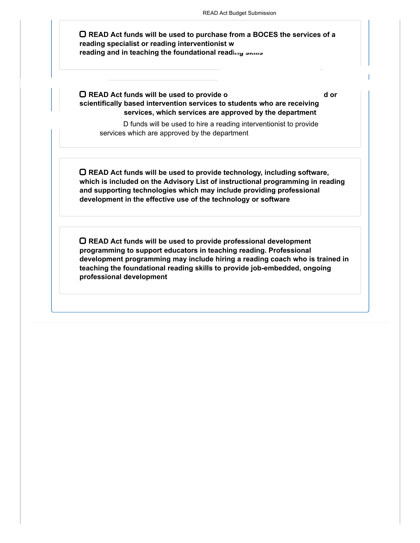**READ Act funds will be used to purchase from a BOCES the services of a reading specialist or reading interventionist wh reading and in teaching the foundational reading skills** 

**READ Act funds will be used to provide o d or scientifically based intervention services to students who are receiving services, which services are approved by the department**

D funds will be used to hire a reading interventionist to provide services which are approved by the department

**READ Act funds will be used to provide technology, including software, which is included on the Advisory List of instructional programming in reading and supporting technologies which may include providing professional development in the effective use of the technology or software**

**READ Act funds will be used to provide professional development programming to support educators in teaching reading. Professional development programming may include hiring a reading coach who is trained in teaching the foundational reading skills to provide job-embedded, ongoing professional development**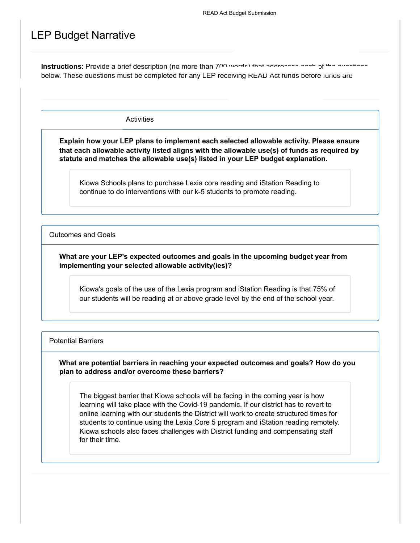### LEP Budget Narrative

Instructions: Provide a brief description (no more than 700 words) that addresses each of the questions below. These questions must be completed for any LEP receiving READ Act tunds before jurius are

Activities

**Explain how your LEP plans to implement each selected allowable activity. Please ensure that each allowable activity listed aligns with the allowable use(s) of funds as required by statute and matches the allowable use(s) listed in your LEP budget explanation.**

Kiowa Schools plans to purchase Lexia core reading and iStation Reading to continue to do interventions with our k-5 students to promote reading.

Outcomes and Goals

**What are your LEP's expected outcomes and goals in the upcoming budget year from implementing your selected allowable activity(ies)?**

Kiowa's goals of the use of the Lexia program and iStation Reading is that 75% of our students will be reading at or above grade level by the end of the school year.

Potential Barriers

**What are potential barriers in reaching your expected outcomes and goals? How do you plan to address and/or overcome these barriers?**

The biggest barrier that Kiowa schools will be facing in the coming year is how learning will take place with the Covid-19 pandemic. If our district has to revert to online learning with our students the District will work to create structured times for students to continue using the Lexia Core 5 program and iStation reading remotely. Kiowa schools also faces challenges with District funding and compensating staff for their time.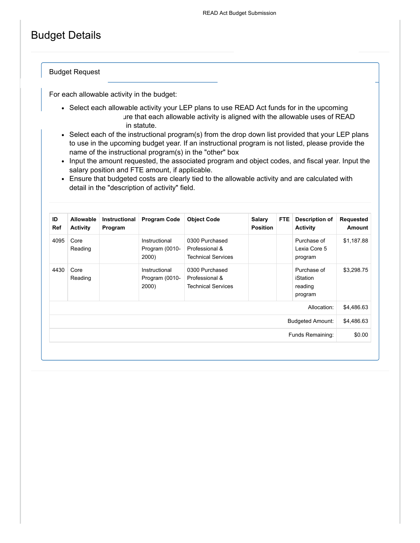## Budget Details

Budget Request

For each allowable activity in the budget:

- Select each allowable activity your LEP plans to use READ Act funds for in the upcoming ure that each allowable activity is aligned with the allowable uses of READ in statute.
- Select each of the instructional program(s) from the drop down list provided that your LEP plans to use in the upcoming budget year. If an instructional program is not listed, please provide the name of the instructional program(s) in the "other" box
- Input the amount requested, the associated program and object codes, and fiscal year. Input the salary position and FTE amount, if applicable.
- Ensure that budgeted costs are clearly tied to the allowable activity and are calculated with detail in the "description of activity" field.

| ID<br>Ref | <b>Allowable</b><br><b>Activity</b> | <b>Instructional</b><br>Program | <b>Program Code</b>                      | <b>Object Code</b>                                            | <b>Salary</b><br><b>Position</b> | <b>FTE</b> | Description of<br><b>Activity</b>                    | Requested<br>Amount |
|-----------|-------------------------------------|---------------------------------|------------------------------------------|---------------------------------------------------------------|----------------------------------|------------|------------------------------------------------------|---------------------|
| 4095      | Core<br>Reading                     |                                 | Instructional<br>Program (0010-<br>2000) | 0300 Purchased<br>Professional &<br><b>Technical Services</b> |                                  |            | Purchase of<br>Lexia Core 5<br>program               | \$1,187.88          |
| 4430      | Core<br>Reading                     |                                 | Instructional<br>Program (0010-<br>2000) | 0300 Purchased<br>Professional &<br><b>Technical Services</b> |                                  |            | Purchase of<br><b>iStation</b><br>reading<br>program | \$3,298.75          |
|           |                                     |                                 |                                          |                                                               |                                  |            | Allocation:                                          | \$4,486.63          |
|           |                                     |                                 |                                          |                                                               |                                  |            | <b>Budgeted Amount:</b>                              | \$4,486.63          |
|           |                                     |                                 |                                          |                                                               |                                  |            | Funds Remaining:                                     | \$0.00              |